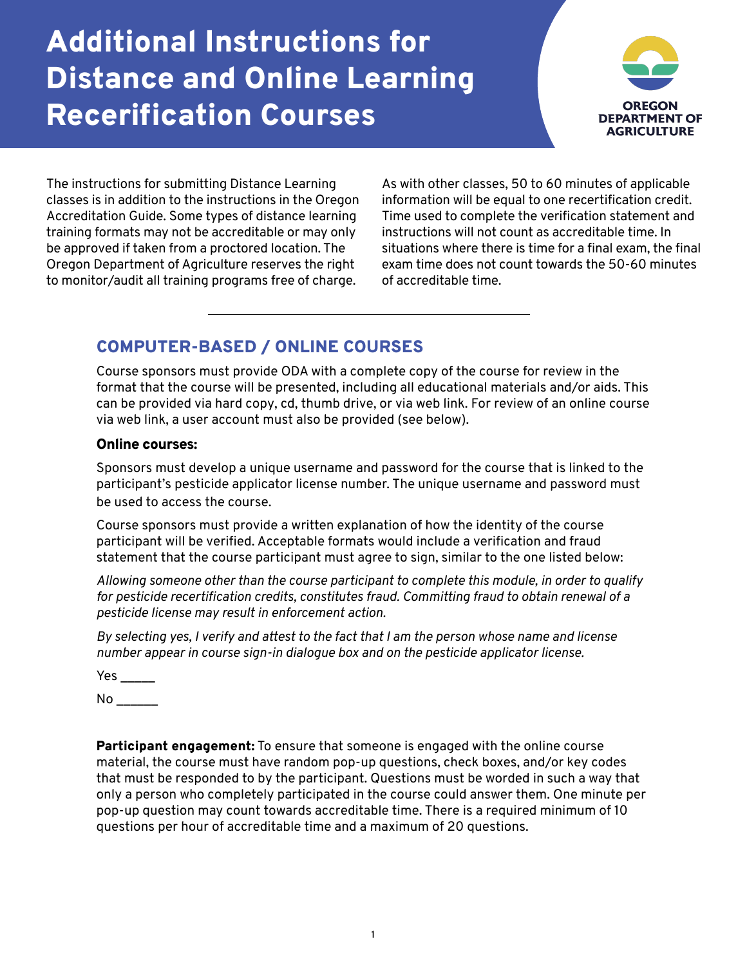# Additional Instructions for Distance and Online Learning Recerification Courses



The instructions for submitting Distance Learning classes is in addition to the instructions in the Oregon Accreditation Guide. Some types of distance learning training formats may not be accreditable or may only be approved if taken from a proctored location. The Oregon Department of Agriculture reserves the right to monitor/audit all training programs free of charge.

As with other classes, 50 to 60 minutes of applicable information will be equal to one recertification credit. Time used to complete the verification statement and instructions will not count as accreditable time. In situations where there is time for a final exam, the final exam time does not count towards the 50-60 minutes of accreditable time.

## COMPUTER-BASED / ONLINE COURSES

Course sponsors must provide ODA with a complete copy of the course for review in the format that the course will be presented, including all educational materials and/or aids. This can be provided via hard copy, cd, thumb drive, or via web link. For review of an online course via web link, a user account must also be provided (see below).

## Online courses:

Sponsors must develop a unique username and password for the course that is linked to the participant's pesticide applicator license number. The unique username and password must be used to access the course.

Course sponsors must provide a written explanation of how the identity of the course participant will be verified. Acceptable formats would include a verification and fraud statement that the course participant must agree to sign, similar to the one listed below:

*Allowing someone other than the course participant to complete this module, in order to qualify for pesticide recertification credits, constitutes fraud. Committing fraud to obtain renewal of a pesticide license may result in enforcement action.* 

*By selecting yes, I verify and attest to the fact that I am the person whose name and license number appear in course sign-in dialogue box and on the pesticide applicator license.*

 $Yes$   $\_\_$ 

No \_\_\_\_\_\_

**Participant engagement:** To ensure that someone is engaged with the online course material, the course must have random pop-up questions, check boxes, and/or key codes that must be responded to by the participant. Questions must be worded in such a way that only a person who completely participated in the course could answer them. One minute per pop-up question may count towards accreditable time. There is a required minimum of 10 questions per hour of accreditable time and a maximum of 20 questions.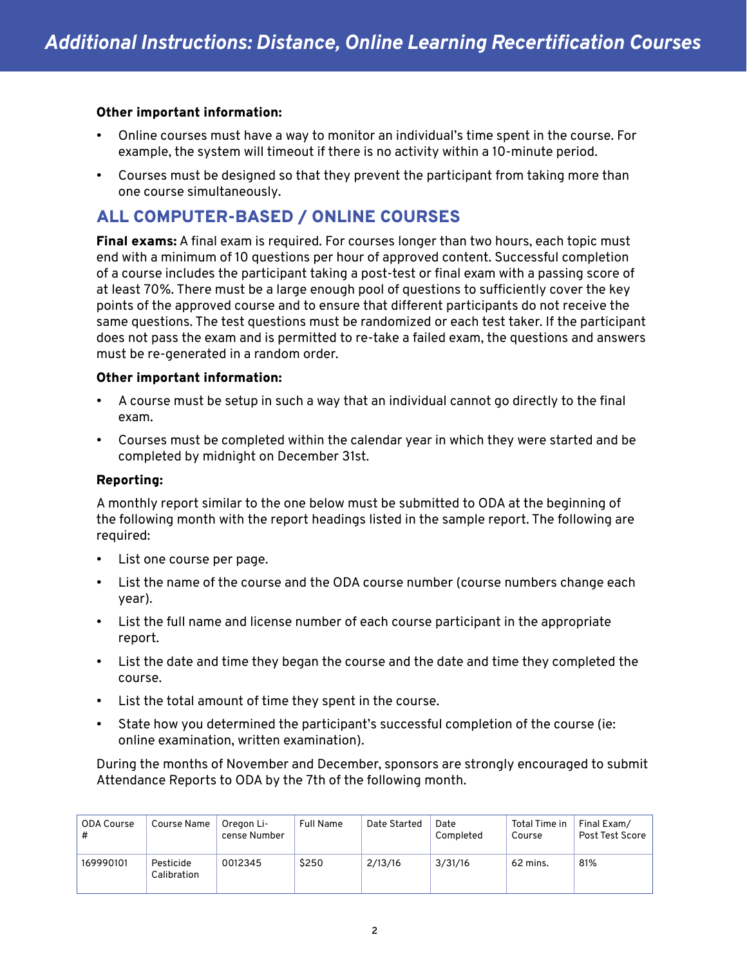## Other important information:

- Online courses must have a way to monitor an individual's time spent in the course. For example, the system will timeout if there is no activity within a 10-minute period.
- Courses must be designed so that they prevent the participant from taking more than one course simultaneously.

## ALL COMPUTER-BASED / ONLINE COURSES

Final exams: A final exam is required. For courses longer than two hours, each topic must end with a minimum of 10 questions per hour of approved content. Successful completion of a course includes the participant taking a post-test or final exam with a passing score of at least 70%. There must be a large enough pool of questions to sufficiently cover the key points of the approved course and to ensure that different participants do not receive the same questions. The test questions must be randomized or each test taker. If the participant does not pass the exam and is permitted to re-take a failed exam, the questions and answers must be re-generated in a random order.

## Other important information:

- A course must be setup in such a way that an individual cannot go directly to the final exam.
- Courses must be completed within the calendar year in which they were started and be completed by midnight on December 31st.

## Reporting:

A monthly report similar to the one below must be submitted to ODA at the beginning of the following month with the report headings listed in the sample report. The following are required:

- List one course per page.
- List the name of the course and the ODA course number (course numbers change each year).
- List the full name and license number of each course participant in the appropriate report.
- List the date and time they began the course and the date and time they completed the course.
- List the total amount of time they spent in the course.
- State how you determined the participant's successful completion of the course (ie: online examination, written examination).

During the months of November and December, sponsors are strongly encouraged to submit Attendance Reports to ODA by the 7th of the following month.

| <b>ODA Course</b><br># | Course Name              | Oregon Li-<br>cense Number | <b>Full Name</b> | Date Started | Date<br>Completed | Total Time in<br>Course | Final Exam/<br>Post Test Score |
|------------------------|--------------------------|----------------------------|------------------|--------------|-------------------|-------------------------|--------------------------------|
| 169990101              | Pesticide<br>Calibration | 0012345                    | \$250            | 2/13/16      | 3/31/16           | 62 mins.                | 81%                            |